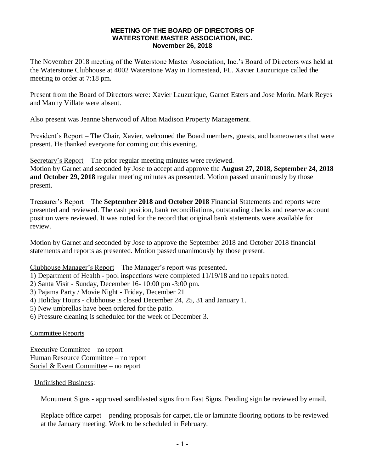## **MEETING OF THE BOARD OF DIRECTORS OF WATERSTONE MASTER ASSOCIATION, INC. November 26, 2018**

The November 2018 meeting of the Waterstone Master Association, Inc.'s Board of Directors was held at the Waterstone Clubhouse at 4002 Waterstone Way in Homestead, FL. Xavier Lauzurique called the meeting to order at 7:18 pm.

Present from the Board of Directors were: Xavier Lauzurique, Garnet Esters and Jose Morin. Mark Reyes and Manny Villate were absent.

Also present was Jeanne Sherwood of Alton Madison Property Management.

President's Report – The Chair, Xavier, welcomed the Board members, guests, and homeowners that were present. He thanked everyone for coming out this evening.

Secretary's Report – The prior regular meeting minutes were reviewed.

Motion by Garnet and seconded by Jose to accept and approve the **August 27, 2018, September 24, 2018 and October 29, 2018** regular meeting minutes as presented. Motion passed unanimously by those present.

Treasurer's Report – The **September 2018 and October 2018** Financial Statements and reports were presented and reviewed. The cash position, bank reconciliations, outstanding checks and reserve account position were reviewed. It was noted for the record that original bank statements were available for review.

Motion by Garnet and seconded by Jose to approve the September 2018 and October 2018 financial statements and reports as presented. Motion passed unanimously by those present.

Clubhouse Manager's Report – The Manager's report was presented.

- 1) Department of Health pool inspections were completed 11/19/18 and no repairs noted.
- 2) Santa Visit Sunday, December 16- 10:00 pm -3:00 pm.
- 3) Pajama Party / Movie Night Friday, December 21
- 4) Holiday Hours clubhouse is closed December 24, 25, 31 and January 1.
- 5) New umbrellas have been ordered for the patio.
- 6) Pressure cleaning is scheduled for the week of December 3.

Committee Reports

Executive Committee – no report Human Resource Committee – no report Social  $&$  Event Committee – no report

Unfinished Business:

Monument Signs - approved sandblasted signs from Fast Signs. Pending sign be reviewed by email.

Replace office carpet – pending proposals for carpet, tile or laminate flooring options to be reviewed at the January meeting. Work to be scheduled in February.